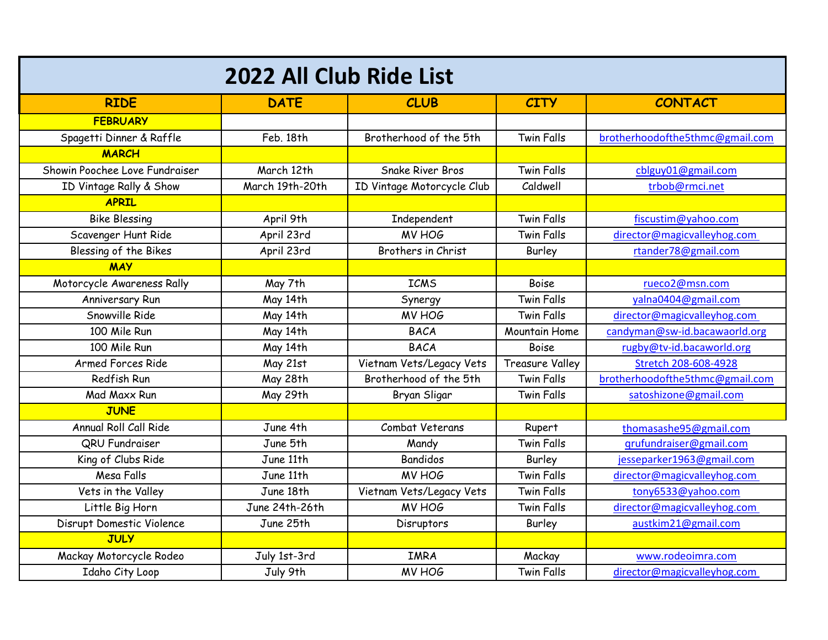| 2022 All Club Ride List        |                 |                            |                        |                                 |  |  |
|--------------------------------|-----------------|----------------------------|------------------------|---------------------------------|--|--|
| <b>RIDE</b>                    | <b>DATE</b>     | <b>CLUB</b>                | <b>CITY</b>            | <b>CONTACT</b>                  |  |  |
| <b>FEBRUARY</b>                |                 |                            |                        |                                 |  |  |
| Spagetti Dinner & Raffle       | Feb. 18th       | Brotherhood of the 5th     | <b>Twin Falls</b>      | brotherhoodofthe5thmc@gmail.com |  |  |
| <b>MARCH</b>                   |                 |                            |                        |                                 |  |  |
| Showin Poochee Love Fundraiser | March 12th      | <b>Snake River Bros</b>    | <b>Twin Falls</b>      | cblguy01@gmail.com              |  |  |
| ID Vintage Rally & Show        | March 19th-20th | ID Vintage Motorcycle Club | Caldwell               | trbob@rmci.net                  |  |  |
| <b>APRIL</b>                   |                 |                            |                        |                                 |  |  |
| <b>Bike Blessing</b>           | April 9th       | Independent                | <b>Twin Falls</b>      | fiscustim@yahoo.com             |  |  |
| Scavenger Hunt Ride            | April 23rd      | MV HOG                     | <b>Twin Falls</b>      | director@magicvalleyhog.com     |  |  |
| Blessing of the Bikes          | April 23rd      | Brothers in Christ         | Burley                 | rtander78@gmail.com             |  |  |
| <b>MAY</b>                     |                 |                            |                        |                                 |  |  |
| Motorcycle Awareness Rally     | May 7th         | <b>ICMS</b>                | Boise                  | rueco2@msn.com                  |  |  |
| Anniversary Run                | May 14th        | Synergy                    | <b>Twin Falls</b>      | yalna0404@gmail.com             |  |  |
| Snowville Ride                 | May 14th        | MV HOG                     | <b>Twin Falls</b>      | director@magicvalleyhog.com     |  |  |
| 100 Mile Run                   | May 14th        | <b>BACA</b>                | Mountain Home          | candyman@sw-id.bacawaorld.org   |  |  |
| 100 Mile Run                   | May 14th        | <b>BACA</b>                | Boise                  | rugby@tv-id.bacaworld.org       |  |  |
| Armed Forces Ride              | May 21st        | Vietnam Vets/Legacy Vets   | <b>Treasure Valley</b> | Stretch 208-608-4928            |  |  |
| Redfish Run                    | May 28th        | Brotherhood of the 5th     | <b>Twin Falls</b>      | brotherhoodofthe5thmc@gmail.com |  |  |
| Mad Maxx Run                   | May 29th        | Bryan Sligar               | Twin Falls             | satoshizone@gmail.com           |  |  |
| <b>JUNE</b>                    |                 |                            |                        |                                 |  |  |
| Annual Roll Call Ride          | June 4th        | Combat Veterans            | Rupert                 | thomasashe95@gmail.com          |  |  |
| QRU Fundraiser                 | June 5th        | Mandy                      | <b>Twin Falls</b>      | grufundraiser@gmail.com         |  |  |
| King of Clubs Ride             | June 11th       | <b>Bandidos</b>            | Burley                 | jesseparker1963@gmail.com       |  |  |
| Mesa Falls                     | June 11th       | MV HOG                     | <b>Twin Falls</b>      | director@magicvalleyhog.com     |  |  |
| Vets in the Valley             | June 18th       | Vietnam Vets/Legacy Vets   | <b>Twin Falls</b>      | tony6533@yahoo.com              |  |  |
| Little Big Horn                | June 24th-26th  | MV HOG                     | <b>Twin Falls</b>      | director@magicvalleyhog.com     |  |  |
| Disrupt Domestic Violence      | June 25th       | Disruptors                 | Burley                 | austkim21@gmail.com             |  |  |
| <b>JULY</b>                    |                 |                            |                        |                                 |  |  |
| Mackay Motorcycle Rodeo        | July 1st-3rd    | <b>IMRA</b>                | Mackay                 | www.rodeoimra.com               |  |  |
| Idaho City Loop                | July 9th        | MV HOG                     | <b>Twin Falls</b>      | director@magicvalleyhog.com     |  |  |